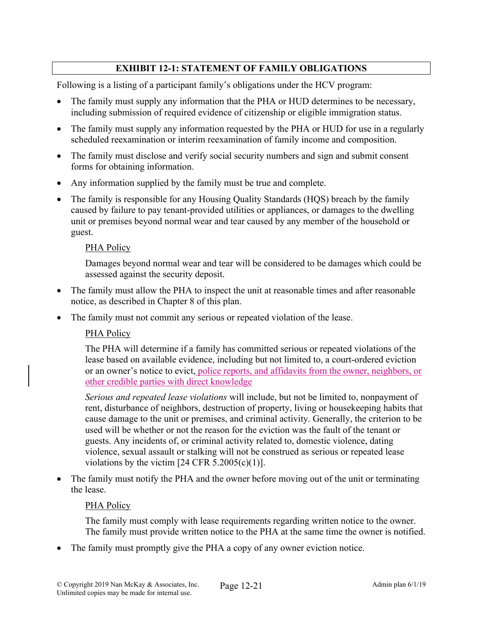# **EXHIBIT 12-1: STATEMENT OF FAMILY OBLIGATIONS**

Following is a listing of a participant family's obligations under the HCV program:

- The family must supply any information that the PHA or HUD determines to be necessary, including submission of required evidence of citizenship or eligible immigration status.
- The family must supply any information requested by the PHA or HUD for use in a regularly scheduled reexamination or interim reexamination of family income and composition.
- The family must disclose and verify social security numbers and sign and submit consent forms for obtaining information.
- Any information supplied by the family must be true and complete.
- The family is responsible for any Housing Quality Standards (HQS) breach by the family caused by failure to pay tenant-provided utilities or appliances, or damages to the dwelling unit or premises beyond normal wear and tear caused by any member of the household or guest.

### PHA Policy

Damages beyond normal wear and tear will be considered to be damages which could be assessed against the security deposit.

- The family must allow the PHA to inspect the unit at reasonable times and after reasonable notice, as described in Chapter 8 of this plan.
- The family must not commit any serious or repeated violation of the lease.

### PHA Policy

The PHA will determine if a family has committed serious or repeated violations of the lease based on available evidence, including but not limited to, a court-ordered eviction or an owner's notice to evict, police reports, and affidavits from the owner, neighbors, or other credible parties with direct knowledge

*Serious and repeated lease violations* will include, but not be limited to, nonpayment of rent, disturbance of neighbors, destruction of property, living or housekeeping habits that cause damage to the unit or premises, and criminal activity. Generally, the criterion to be used will be whether or not the reason for the eviction was the fault of the tenant or guests. Any incidents of, or criminal activity related to, domestic violence, dating violence, sexual assault or stalking will not be construed as serious or repeated lease violations by the victim  $[24 \text{ CFR } 5.2005(c)(1)].$ 

 The family must notify the PHA and the owner before moving out of the unit or terminating the lease.

### PHA Policy

The family must comply with lease requirements regarding written notice to the owner. The family must provide written notice to the PHA at the same time the owner is notified.

The family must promptly give the PHA a copy of any owner eviction notice.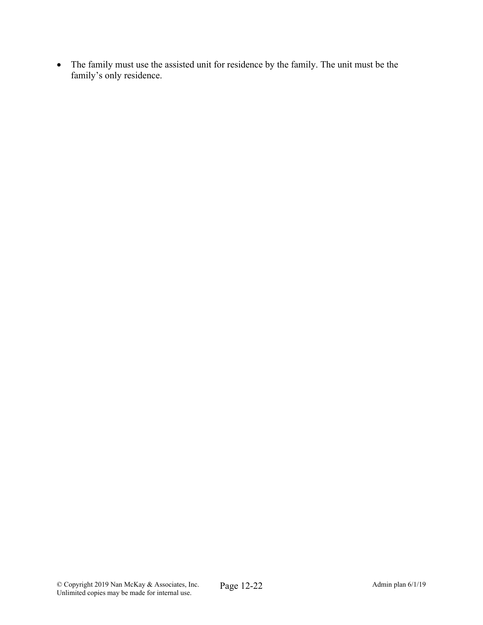The family must use the assisted unit for residence by the family. The unit must be the family's only residence.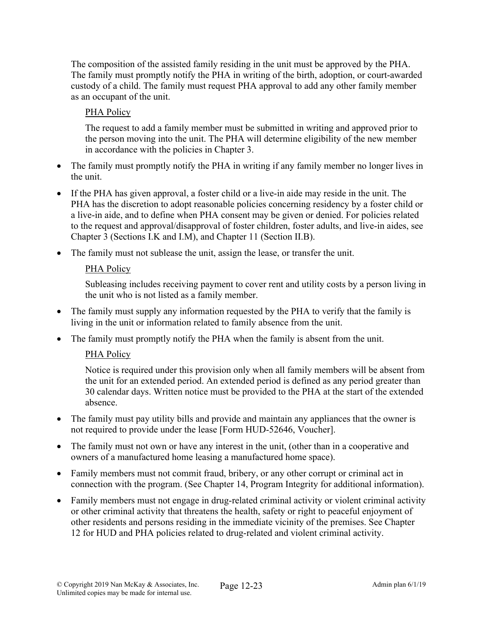The composition of the assisted family residing in the unit must be approved by the PHA. The family must promptly notify the PHA in writing of the birth, adoption, or court-awarded custody of a child. The family must request PHA approval to add any other family member as an occupant of the unit.

## PHA Policy

The request to add a family member must be submitted in writing and approved prior to the person moving into the unit. The PHA will determine eligibility of the new member in accordance with the policies in Chapter 3.

- The family must promptly notify the PHA in writing if any family member no longer lives in the unit.
- If the PHA has given approval, a foster child or a live-in aide may reside in the unit. The PHA has the discretion to adopt reasonable policies concerning residency by a foster child or a live-in aide, and to define when PHA consent may be given or denied. For policies related to the request and approval/disapproval of foster children, foster adults, and live-in aides, see Chapter 3 (Sections I.K and I.M), and Chapter 11 (Section II.B).
- The family must not sublease the unit, assign the lease, or transfer the unit.

### PHA Policy

Subleasing includes receiving payment to cover rent and utility costs by a person living in the unit who is not listed as a family member.

- The family must supply any information requested by the PHA to verify that the family is living in the unit or information related to family absence from the unit.
- The family must promptly notify the PHA when the family is absent from the unit.

### PHA Policy

Notice is required under this provision only when all family members will be absent from the unit for an extended period. An extended period is defined as any period greater than 30 calendar days. Written notice must be provided to the PHA at the start of the extended absence.

- The family must pay utility bills and provide and maintain any appliances that the owner is not required to provide under the lease [Form HUD-52646, Voucher].
- The family must not own or have any interest in the unit, (other than in a cooperative and owners of a manufactured home leasing a manufactured home space).
- Family members must not commit fraud, bribery, or any other corrupt or criminal act in connection with the program. (See Chapter 14, Program Integrity for additional information).
- Family members must not engage in drug-related criminal activity or violent criminal activity or other criminal activity that threatens the health, safety or right to peaceful enjoyment of other residents and persons residing in the immediate vicinity of the premises. See Chapter 12 for HUD and PHA policies related to drug-related and violent criminal activity.